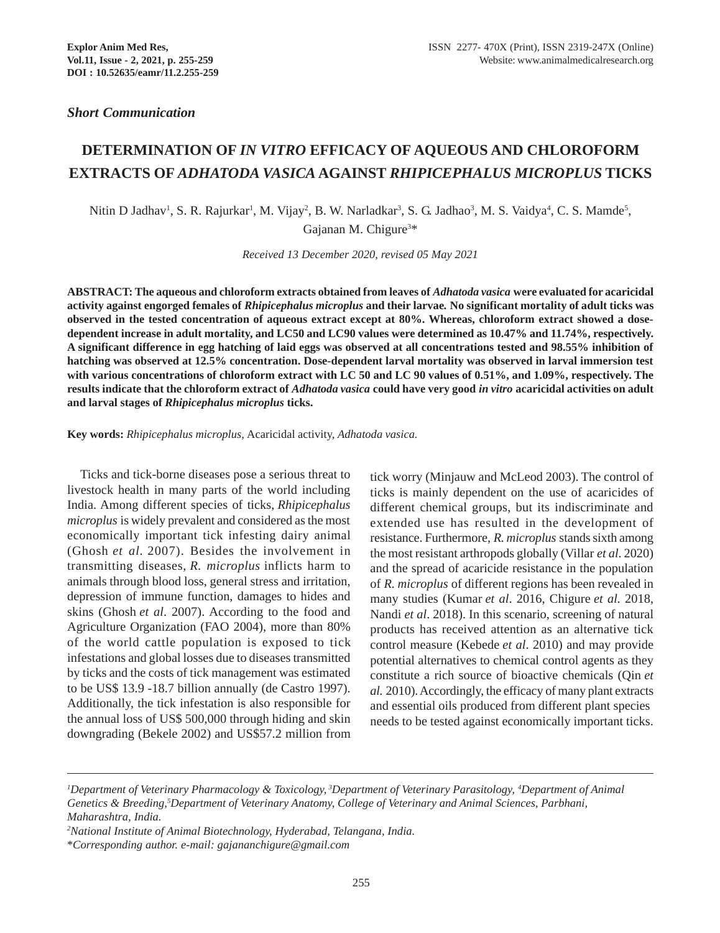*Short Communication*

# **DETERMINATION OF** *IN VITRO* **EFFICACY OF AQUEOUS AND CHLOROFORM EXTRACTS OF** *ADHATODA VASICA* **AGAINST** *RHIPICEPHALUS MICROPLUS* **TICKS**

Nitin D Jadhav<sup>1</sup>, S. R. Rajurkar<sup>1</sup>, M. Vijay<sup>2</sup>, B. W. Narladkar<sup>3</sup>, S. G. Jadhao<sup>3</sup>, M. S. Vaidya<sup>4</sup>, C. S. Mamde<sup>5</sup>, Gajanan M. Chigure<sup>3\*</sup>

*Received 13 December 2020, revised 05 May 2021*

**ABSTRACT: The aqueous and chloroform extracts obtained from leaves of** *Adhatoda vasica* **were evaluated for acaricidal activity against engorged females of** *Rhipicephalus microplus* **and their larvae***.* **No significant mortality of adult ticks was observed in the tested concentration of aqueous extract except at 80%. Whereas, chloroform extract showed a dosedependent increase in adult mortality, and LC50 and LC90 values were determined as 10.47% and 11.74%, respectively. A significant difference in egg hatching of laid eggs was observed at all concentrations tested and 98.55% inhibition of hatching was observed at 12.5% concentration. Dose-dependent larval mortality was observed in larval immersion test with various concentrations of chloroform extract with LC 50 and LC 90 values of 0.51%, and 1.09%, respectively. The results indicate that the chloroform extract of** *Adhatoda vasica* **could have very good** *in vitro* **acaricidal activities on adult and larval stages of** *Rhipicephalus microplus* **ticks.**

**Key words:** *Rhipicephalus microplus,* Acaricidal activity, *Adhatoda vasica.*

Ticks and tick-borne diseases pose a serious threat to livestock health in many parts of the world including India. Among different species of ticks, *Rhipicephalus microplus* is widely prevalent and considered as the most economically important tick infesting dairy animal (Ghosh *et al.* 2007). Besides the involvement in transmitting diseases, *R. microplus* inflicts harm to animals through blood loss, general stress and irritation, depression of immune function, damages to hides and skins (Ghosh *et al*. 2007). According to the food and Agriculture Organization (FAO 2004), more than 80% of the world cattle population is exposed to tick infestations and global losses due to diseases transmitted by ticks and the costs of tick management was estimated to be US\$ 13.9 -18.7 billion annually (de Castro 1997). Additionally, the tick infestation is also responsible for the annual loss of US\$ 500,000 through hiding and skin downgrading (Bekele 2002) and US\$57.2 million from

tick worry (Minjauw and McLeod 2003). The control of ticks is mainly dependent on the use of acaricides of different chemical groups, but its indiscriminate and extended use has resulted in the development of resistance. Furthermore, *R. microplus* stands sixth among the most resistant arthropods globally (Villar *et al*. 2020) and the spread of acaricide resistance in the population of *R. microplus* of different regions has been revealed in many studies (Kumar *et al*. 2016, Chigure *et al*. 2018, Nandi *et al*. 2018). In this scenario, screening of natural products has received attention as an alternative tick control measure (Kebede *et al*. 2010) and may provide potential alternatives to chemical control agents as they constitute a rich source of bioactive chemicals (Qin *et al.* 2010). Accordingly, the efficacy of many plant extracts and essential oils produced from different plant species needs to be tested against economically important ticks.

*<sup>1</sup> Department of Veterinary Pharmacology & Toxicology, 3Department of Veterinary Parasitology, 4 Department of Animal* Genetics & Breeding,<sup>5</sup>Department of Veterinary Anatomy, College of Veterinary and Animal Sciences, Parbhani, *Maharashtra, India.*

*<sup>2</sup> National Institute of Animal Biotechnology, Hyderabad, Telangana, India.*

<sup>\*</sup>*Corresponding author. e-mail: gajananchigure@gmail.com*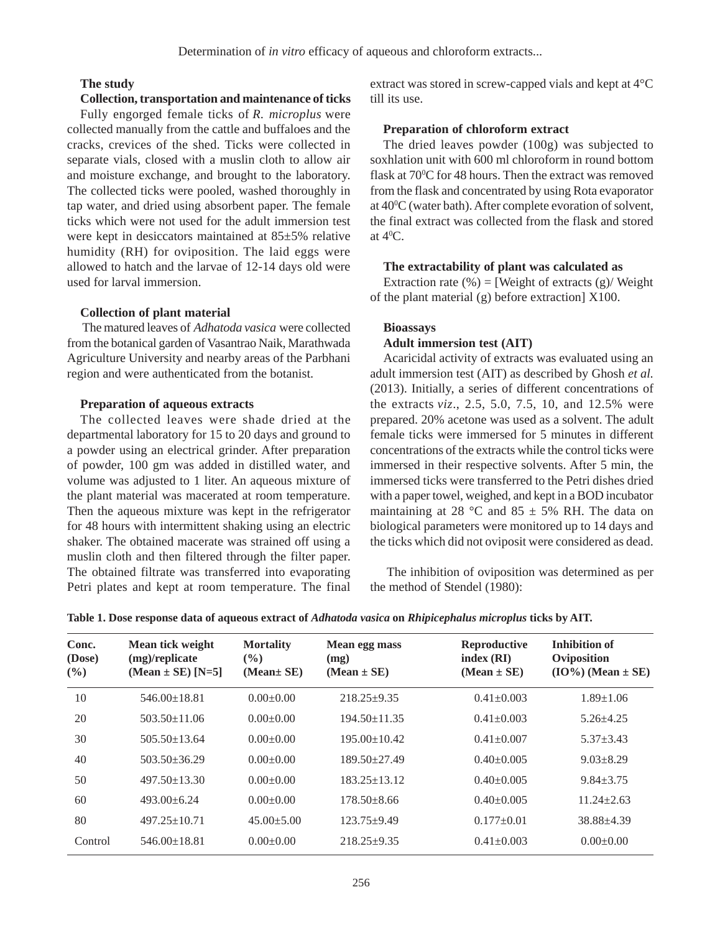# **The study**

#### **Collection, transportation and maintenance of ticks**

Fully engorged female ticks of *R. microplus* were collected manually from the cattle and buffaloes and the cracks, crevices of the shed. Ticks were collected in separate vials, closed with a muslin cloth to allow air and moisture exchange, and brought to the laboratory. The collected ticks were pooled, washed thoroughly in tap water, and dried using absorbent paper. The female ticks which were not used for the adult immersion test were kept in desiccators maintained at 85±5% relative humidity (RH) for oviposition. The laid eggs were allowed to hatch and the larvae of 12-14 days old were used for larval immersion.

#### **Collection of plant material**

 The matured leaves of *Adhatoda vasica* were collected from the botanical garden of Vasantrao Naik, Marathwada Agriculture University and nearby areas of the Parbhani region and were authenticated from the botanist.

# **Preparation of aqueous extracts**

The collected leaves were shade dried at the departmental laboratory for 15 to 20 days and ground to a powder using an electrical grinder. After preparation of powder, 100 gm was added in distilled water, and volume was adjusted to 1 liter. An aqueous mixture of the plant material was macerated at room temperature. Then the aqueous mixture was kept in the refrigerator for 48 hours with intermittent shaking using an electric shaker. The obtained macerate was strained off using a muslin cloth and then filtered through the filter paper. The obtained filtrate was transferred into evaporating Petri plates and kept at room temperature. The final extract was stored in screw-capped vials and kept at 4°C till its use.

#### **Preparation of chloroform extract**

The dried leaves powder (100g) was subjected to soxhlation unit with 600 ml chloroform in round bottom flask at 70°C for 48 hours. Then the extract was removed from the flask and concentrated by using Rota evaporator at 400 C (water bath). After complete evoration of solvent, the final extract was collected from the flask and stored at  $4^0C$ .

#### **The extractability of plant was calculated as**

Extraction rate  $(\%)$  = [Weight of extracts  $(g)$  Weight of the plant material (g) before extraction] X100.

#### **Bioassays**

#### **Adult immersion test (AIT)**

Acaricidal activity of extracts was evaluated using an adult immersion test (AIT) as described by Ghosh *et al.* (2013). Initially, a series of different concentrations of the extracts *viz*., 2.5, 5.0, 7.5, 10, and 12.5% were prepared. 20% acetone was used as a solvent. The adult female ticks were immersed for 5 minutes in different concentrations of the extracts while the control ticks were immersed in their respective solvents. After 5 min, the immersed ticks were transferred to the Petri dishes dried with a paper towel, weighed, and kept in a BOD incubator maintaining at 28 °C and 85  $\pm$  5% RH. The data on biological parameters were monitored up to 14 days and the ticks which did not oviposit were considered as dead.

 The inhibition of oviposition was determined as per the method of Stendel (1980):

| Conc.<br>(Dose)<br>(%) | Mean tick weight<br>(mg)/replicate<br>$(Mean \pm SE) [N=5]$ | <b>Mortality</b><br>$\frac{6}{2}$<br>(Mean± SE) | Mean egg mass<br>(mg)<br>$(Mean \pm SE)$ | <b>Reproductive</b><br>index(RI)<br>$(Mean \pm SE)$ | <b>Inhibition of</b><br>Oviposition<br>$(IO\%) (Mean \pm SE)$ |
|------------------------|-------------------------------------------------------------|-------------------------------------------------|------------------------------------------|-----------------------------------------------------|---------------------------------------------------------------|
| 10                     | $546.00 + 18.81$                                            | $0.00+0.00$                                     | $218.25+9.35$                            | $0.41 \pm 0.003$                                    | $1.89 \pm 1.06$                                               |
| 20                     | $503.50 \pm 11.06$                                          | $0.00+0.00$                                     | $194.50 \pm 11.35$                       | $0.41 \pm 0.003$                                    | $5.26 + 4.25$                                                 |
| 30                     | $505.50 \pm 13.64$                                          | $0.00+0.00$                                     | $195.00 \pm 10.42$                       | $0.41 \pm 0.007$                                    | $5.37 + 3.43$                                                 |
| 40                     | $503.50 + 36.29$                                            | $0.00+0.00$                                     | $189.50 \pm 27.49$                       | $0.40 \pm 0.005$                                    | $9.03 \pm 8.29$                                               |
| 50                     | $497.50 \pm 13.30$                                          | $0.00+0.00$                                     | $183.25 + 13.12$                         | $0.40 \pm 0.005$                                    | $9.84 \pm 3.75$                                               |
| 60                     | $493.00 + 6.24$                                             | $0.00 \pm 0.00$                                 | $178.50 \pm 8.66$                        | $0.40 \pm 0.005$                                    | $11.24 \pm 2.63$                                              |
| 80                     | $497.25 \pm 10.71$                                          | $45.00 \pm 5.00$                                | $123.75+9.49$                            | $0.177+0.01$                                        | $38.88 + 4.39$                                                |
| Control                | $546.00 \pm 18.81$                                          | $0.00+0.00$                                     | $218.25+9.35$                            | $0.41 \pm 0.003$                                    | $0.00+0.00$                                                   |

**Table 1. Dose response data of aqueous extract of** *Adhatoda vasica* **on** *Rhipicephalus microplus* **ticks by AIT.**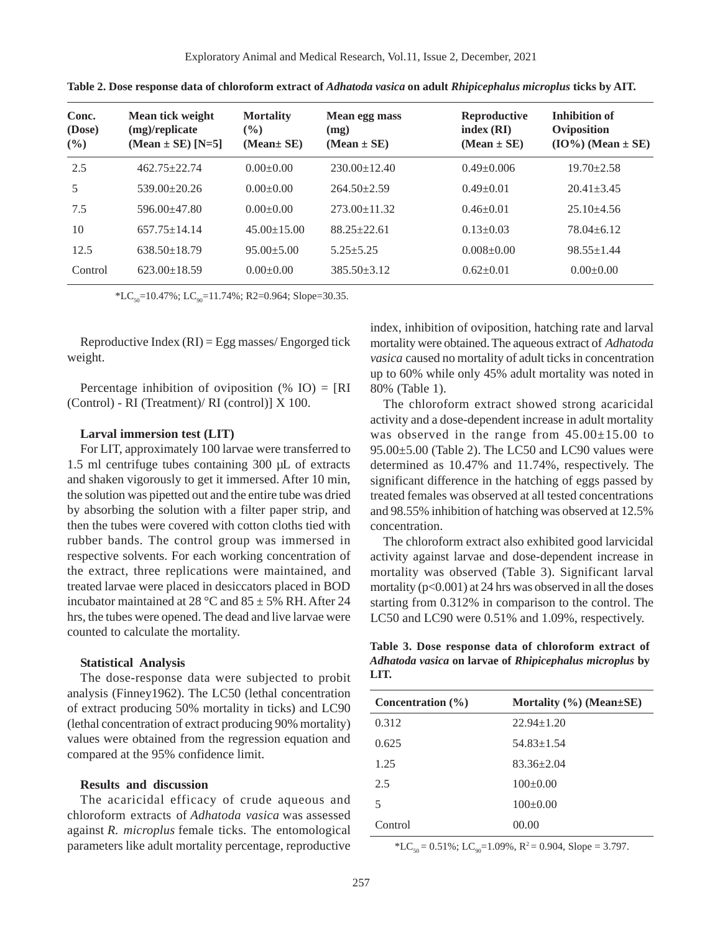| Conc.<br>(Dose)<br>(%) | Mean tick weight<br>(mg)/replicate<br>$(Mean \pm SE) [N=5]$ | <b>Mortality</b><br>$\frac{1}{2}$<br>(Mean± SE) | Mean egg mass<br>(mg)<br>$(Mean \pm SE)$ | Reproductive<br>index(RI)<br>$(Mean \pm SE)$ | <b>Inhibition of</b><br>Oviposition<br>$(IO\%) (Mean \pm SE)$ |
|------------------------|-------------------------------------------------------------|-------------------------------------------------|------------------------------------------|----------------------------------------------|---------------------------------------------------------------|
| 2.5                    | $462.75 + 22.74$                                            | $0.00+0.00$                                     | $230.00 \pm 12.40$                       | $0.49 \pm 0.006$                             | $19.70 \pm 2.58$                                              |
| 5                      | $539.00 \pm 20.26$                                          | $0.00+0.00$                                     | $264.50+2.59$                            | $0.49 \pm 0.01$                              | $20.41 \pm 3.45$                                              |
| 7.5                    | $596.00 + 47.80$                                            | $0.00+0.00$                                     | $273.00 \pm 11.32$                       | $0.46 \pm 0.01$                              | $25.10 + 4.56$                                                |
| 10                     | $657.75 \pm 14.14$                                          | $45.00 \pm 15.00$                               | $88.25 \pm 22.61$                        | $0.13 \pm 0.03$                              | $78.04 \pm 6.12$                                              |
| 12.5                   | $638.50 \pm 18.79$                                          | $95.00 \pm 5.00$                                | $5.25 + 5.25$                            | $0.008 \pm 0.00$                             | $98.55 \pm 1.44$                                              |
| Control                | $623.00 \pm 18.59$                                          | $0.00+0.00$                                     | $385.50 + 3.12$                          | $0.62 \pm 0.01$                              | $0.00+0.00$                                                   |

**Table 2. Dose response data of chloroform extract of** *Adhatoda vasica* **on adult** *Rhipicephalus microplus* **ticks by AIT.**

 $*LC_{50}$ =10.47%; LC<sub>90</sub>=11.74%; R2=0.964; Slope=30.35.

Reproductive Index  $(RI) = Egg$  masses/Engorged tick weight.

Percentage inhibition of oviposition  $(\%$  IO) = [RI] (Control) - RI (Treatment)/ RI (control)] X 100.

#### **Larval immersion test (LIT)**

For LIT, approximately 100 larvae were transferred to 1.5 ml centrifuge tubes containing 300 µL of extracts and shaken vigorously to get it immersed. After 10 min, the solution was pipetted out and the entire tube was dried by absorbing the solution with a filter paper strip, and then the tubes were covered with cotton cloths tied with rubber bands. The control group was immersed in respective solvents. For each working concentration of the extract, three replications were maintained, and treated larvae were placed in desiccators placed in BOD incubator maintained at 28 °C and  $85 \pm 5\%$  RH. After 24 hrs, the tubes were opened. The dead and live larvae were counted to calculate the mortality.

## **Statistical Analysis**

The dose-response data were subjected to probit analysis (Finney1962). The LC50 (lethal concentration of extract producing 50% mortality in ticks) and LC90 (lethal concentration of extract producing 90% mortality) values were obtained from the regression equation and compared at the 95% confidence limit.

### **Results and discussion**

The acaricidal efficacy of crude aqueous and chloroform extracts of *Adhatoda vasica* was assessed against *R. microplus* female ticks. The entomological parameters like adult mortality percentage, reproductive index, inhibition of oviposition, hatching rate and larval mortality were obtained. The aqueous extract of *Adhatoda vasica* caused no mortality of adult ticks in concentration up to 60% while only 45% adult mortality was noted in 80% (Table 1).

The chloroform extract showed strong acaricidal activity and a dose-dependent increase in adult mortality was observed in the range from 45.00±15.00 to 95.00±5.00 (Table 2). The LC50 and LC90 values were determined as 10.47% and 11.74%, respectively. The significant difference in the hatching of eggs passed by treated females was observed at all tested concentrations and 98.55% inhibition of hatching was observed at 12.5% concentration.

The chloroform extract also exhibited good larvicidal activity against larvae and dose-dependent increase in mortality was observed (Table 3). Significant larval mortality  $(p<0.001)$  at 24 hrs was observed in all the doses starting from 0.312% in comparison to the control. The LC50 and LC90 were 0.51% and 1.09%, respectively.

**Table 3. Dose response data of chloroform extract of** *Adhatoda vasica* **on larvae of** *Rhipicephalus microplus* **by LIT.**

| Concentration $(\% )$ | Mortality $(\% )$ (Mean $\pm$ SE) |
|-----------------------|-----------------------------------|
| 0.312                 | $22.94 \pm 1.20$                  |
| 0.625                 | $54.83 \pm 1.54$                  |
| 1.25                  | $83.36 + 2.04$                    |
| 2.5                   | $100+0.00$                        |
| 5                     | $100+0.00$                        |
| Control               | 00.00                             |

 $* LC_{50} = 0.51\%; LC_{90} = 1.09\%; R^2 = 0.904, Slope = 3.797.$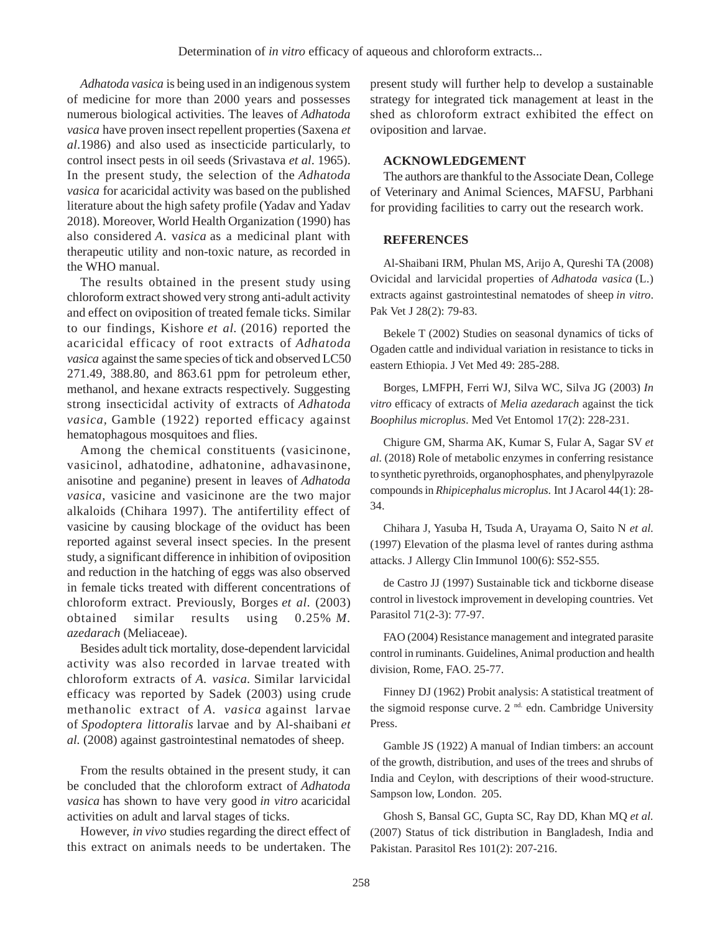*Adhatoda vasica* is being used in an indigenous system of medicine for more than 2000 years and possesses numerous biological activities. The leaves of *Adhatoda vasica* have proven insect repellent properties (Saxena *et al*.1986) and also used as insecticide particularly, to control insect pests in oil seeds (Srivastava *et al*. 1965). In the present study, the selection of the *Adhatoda vasica* for acaricidal activity was based on the published literature about the high safety profile (Yadav and Yadav 2018). Moreover, World Health Organization (1990) has also considered *A*. v*asica* as a medicinal plant with therapeutic utility and non-toxic nature, as recorded in the WHO manual.

The results obtained in the present study using chloroform extract showed very strong anti-adult activity and effect on oviposition of treated female ticks. Similar to our findings, Kishore *et al.* (2016) reported the acaricidal efficacy of root extracts of *Adhatoda vasica* against the same species of tick and observed LC50 271.49, 388.80, and 863.61 ppm for petroleum ether, methanol, and hexane extracts respectively. Suggesting strong insecticidal activity of extracts of *Adhatoda vasica,* Gamble (1922) reported efficacy against hematophagous mosquitoes and flies.

Among the chemical constituents (vasicinone, vasicinol, adhatodine, adhatonine, adhavasinone, anisotine and peganine) present in leaves of *Adhatoda vasica*, vasicine and vasicinone are the two major alkaloids (Chihara 1997). The antifertility effect of vasicine by causing blockage of the oviduct has been reported against several insect species. In the present study, a significant difference in inhibition of oviposition and reduction in the hatching of eggs was also observed in female ticks treated with different concentrations of chloroform extract. Previously, Borges *et al*. (2003) obtained similar results using 0.25% *M. azedarach* (Meliaceae).

Besides adult tick mortality, dose-dependent larvicidal activity was also recorded in larvae treated with chloroform extracts of *A. vasica.* Similar larvicidal efficacy was reported by Sadek (2003) using crude methanolic extract of *A. vasica* against larvae of *Spodoptera littoralis* larvae and by Al-shaibani *et al.* (2008) against gastrointestinal nematodes of sheep.

From the results obtained in the present study, it can be concluded that the chloroform extract of *Adhatoda vasica* has shown to have very good *in vitro* acaricidal activities on adult and larval stages of ticks.

However, *in vivo* studies regarding the direct effect of this extract on animals needs to be undertaken. The

present study will further help to develop a sustainable strategy for integrated tick management at least in the shed as chloroform extract exhibited the effect on oviposition and larvae.

# **ACKNOWLEDGEMENT**

The authors are thankful to the Associate Dean, College of Veterinary and Animal Sciences, MAFSU, Parbhani for providing facilities to carry out the research work.

# **REFERENCES**

Al-Shaibani IRM, Phulan MS, Arijo A, Qureshi TA (2008) Ovicidal and larvicidal properties of *Adhatoda vasica* (L.) extracts against gastrointestinal nematodes of sheep *in vitro*. Pak Vet J 28(2): 79-83.

Bekele T (2002) Studies on seasonal dynamics of ticks of Ogaden cattle and individual variation in resistance to ticks in eastern Ethiopia. J Vet Med 49: 285-288.

Borges, LMFPH, Ferri WJ, Silva WC, Silva JG (2003) *In vitro* efficacy of extracts of *Melia azedarach* against the tick *Boophilus microplus*. Med Vet Entomol 17(2): 228-231.

Chigure GM, Sharma AK, Kumar S, Fular A, Sagar SV *et al.* (2018) Role of metabolic enzymes in conferring resistance to synthetic pyrethroids, organophosphates, and phenylpyrazole compounds in *Rhipicephalus microplus*. Int J Acarol 44(1): 28- 34.

Chihara J, Yasuba H, Tsuda A, Urayama O, Saito N *et al.* (1997) Elevation of the plasma level of rantes during asthma attacks. J Allergy Clin Immunol 100(6): S52-S55.

de Castro JJ (1997) Sustainable tick and tickborne disease control in livestock improvement in developing countries. Vet Parasitol 71(2-3): 77-97.

FAO (2004) Resistance management and integrated parasite control in ruminants. Guidelines, Animal production and health division, Rome, FAO. 25-77.

Finney DJ (1962) Probit analysis: A statistical treatment of the sigmoid response curve. 2<sup>nd.</sup> edn. Cambridge University Press.

Gamble JS (1922) A manual of Indian timbers: an account of the growth, distribution, and uses of the trees and shrubs of India and Ceylon, with descriptions of their wood-structure. Sampson low, London. 205.

Ghosh S, Bansal GC, Gupta SC, Ray DD, Khan MQ *et al.* (2007) Status of tick distribution in Bangladesh, India and Pakistan. Parasitol Res 101(2): 207-216.